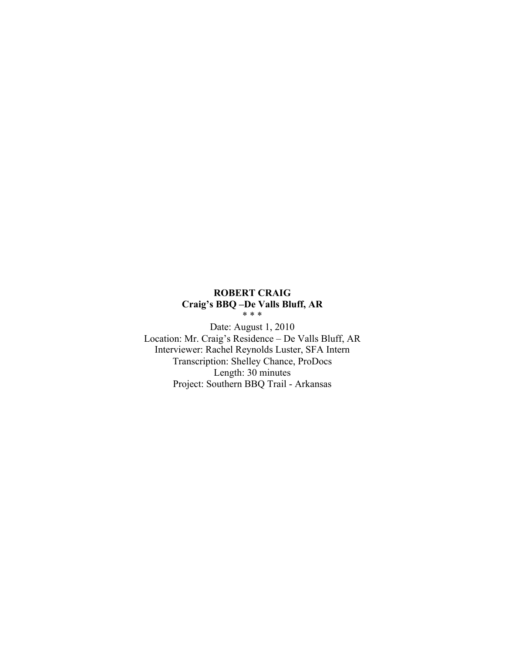# **ROBERT CRAIG Craig's BBQ –De Valls Bluff, AR** \* \* \*

Date: August 1, 2010 Location: Mr. Craig's Residence – De Valls Bluff, AR Interviewer: Rachel Reynolds Luster, SFA Intern Transcription: Shelley Chance, ProDocs Length: 30 minutes Project: Southern BBQ Trail - Arkansas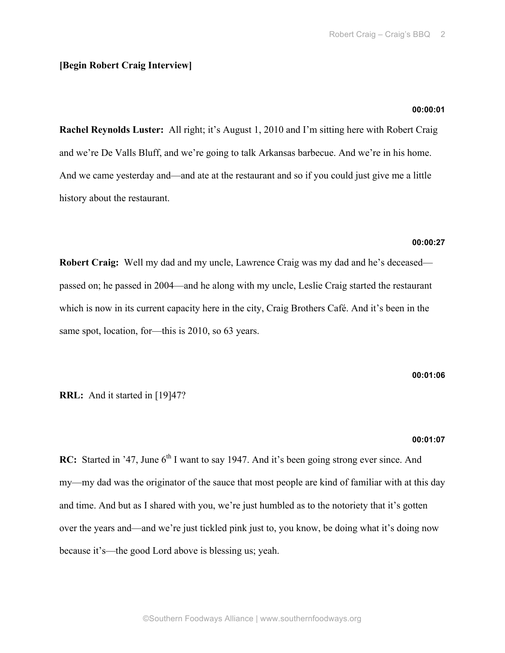# **[Begin Robert Craig Interview]**

# **00:00:01**

**Rachel Reynolds Luster:** All right; it's August 1, 2010 and I'm sitting here with Robert Craig and we're De Valls Bluff, and we're going to talk Arkansas barbecue. And we're in his home. And we came yesterday and—and ate at the restaurant and so if you could just give me a little history about the restaurant.

# **00:00:27**

**Robert Craig:** Well my dad and my uncle, Lawrence Craig was my dad and he's deceased passed on; he passed in 2004—and he along with my uncle, Leslie Craig started the restaurant which is now in its current capacity here in the city, Craig Brothers Café. And it's been in the same spot, location, for—this is 2010, so 63 years.

#### **00:01:06**

**RRL:** And it started in [19]47?

# **00:01:07**

**RC:** Started in '47, June 6<sup>th</sup> I want to say 1947. And it's been going strong ever since. And my—my dad was the originator of the sauce that most people are kind of familiar with at this day and time. And but as I shared with you, we're just humbled as to the notoriety that it's gotten over the years and—and we're just tickled pink just to, you know, be doing what it's doing now because it's—the good Lord above is blessing us; yeah.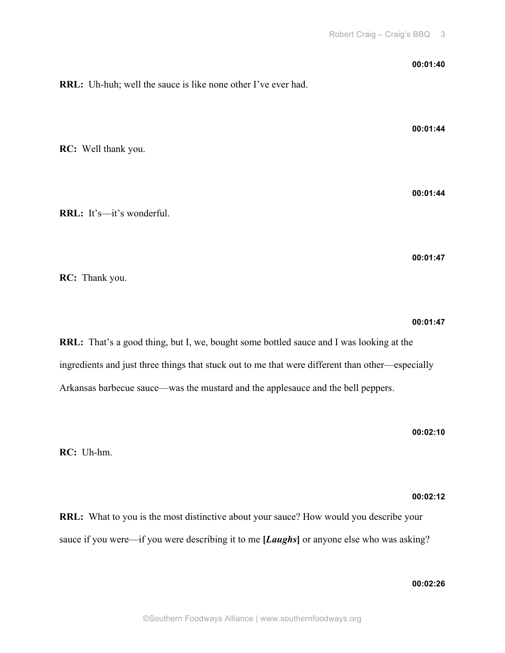**00:01:40 RRL:** Uh-huh; well the sauce is like none other I've ever had. **00:01:44 RC:** Well thank you. **00:01:44 RRL:** It's—it's wonderful. **00:01:47**

**RC:** Thank you.

# **00:01:47**

**RRL:** That's a good thing, but I, we, bought some bottled sauce and I was looking at the ingredients and just three things that stuck out to me that were different than other—especially Arkansas barbecue sauce—was the mustard and the applesauce and the bell peppers.

**00:02:10**

**RC:** Uh-hm.

# **00:02:12**

**RRL:** What to you is the most distinctive about your sauce? How would you describe your sauce if you were—if you were describing it to me **[***Laughs***]** or anyone else who was asking?

# **00:02:26**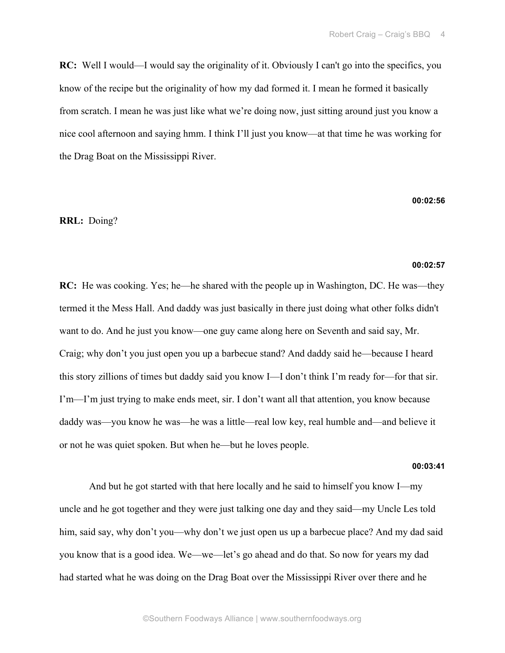**RC:** Well I would—I would say the originality of it. Obviously I can't go into the specifics, you know of the recipe but the originality of how my dad formed it. I mean he formed it basically from scratch. I mean he was just like what we're doing now, just sitting around just you know a nice cool afternoon and saying hmm. I think I'll just you know—at that time he was working for the Drag Boat on the Mississippi River.

#### **00:02:56**

# **RRL:** Doing?

#### **00:02:57**

**RC:** He was cooking. Yes; he—he shared with the people up in Washington, DC. He was—they termed it the Mess Hall. And daddy was just basically in there just doing what other folks didn't want to do. And he just you know—one guy came along here on Seventh and said say, Mr. Craig; why don't you just open you up a barbecue stand? And daddy said he—because I heard this story zillions of times but daddy said you know I—I don't think I'm ready for—for that sir. I'm—I'm just trying to make ends meet, sir. I don't want all that attention, you know because daddy was—you know he was—he was a little—real low key, real humble and—and believe it or not he was quiet spoken. But when he—but he loves people.

#### **00:03:41**

And but he got started with that here locally and he said to himself you know I—my uncle and he got together and they were just talking one day and they said—my Uncle Les told him, said say, why don't you—why don't we just open us up a barbecue place? And my dad said you know that is a good idea. We—we—let's go ahead and do that. So now for years my dad had started what he was doing on the Drag Boat over the Mississippi River over there and he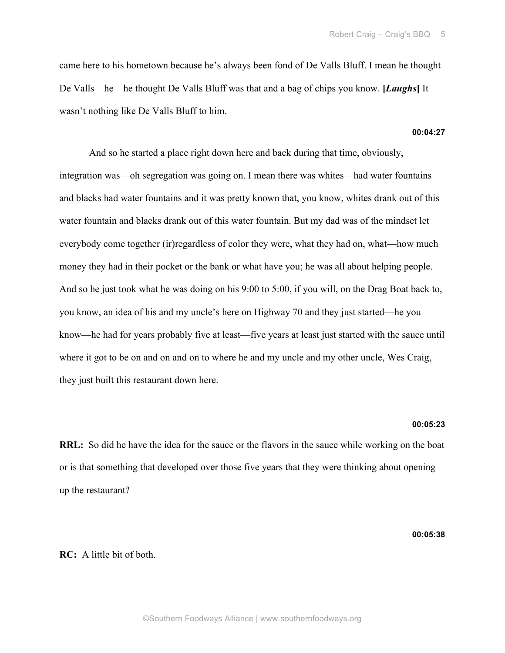came here to his hometown because he's always been fond of De Valls Bluff. I mean he thought De Valls—he—he thought De Valls Bluff was that and a bag of chips you know. **[***Laughs***]** It wasn't nothing like De Valls Bluff to him.

#### **00:04:27**

And so he started a place right down here and back during that time, obviously, integration was—oh segregation was going on. I mean there was whites—had water fountains and blacks had water fountains and it was pretty known that, you know, whites drank out of this water fountain and blacks drank out of this water fountain. But my dad was of the mindset let everybody come together (ir)regardless of color they were, what they had on, what—how much money they had in their pocket or the bank or what have you; he was all about helping people. And so he just took what he was doing on his 9:00 to 5:00, if you will, on the Drag Boat back to, you know, an idea of his and my uncle's here on Highway 70 and they just started—he you know—he had for years probably five at least—five years at least just started with the sauce until where it got to be on and on and on to where he and my uncle and my other uncle, Wes Craig, they just built this restaurant down here.

# **00:05:23**

**RRL:** So did he have the idea for the sauce or the flavors in the sauce while working on the boat or is that something that developed over those five years that they were thinking about opening up the restaurant?

**00:05:38**

# **RC:** A little bit of both.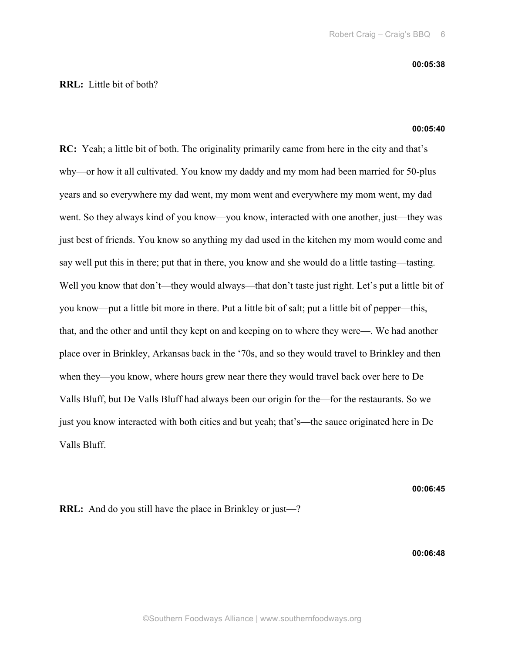# **RRL:** Little bit of both?

#### **00:05:40**

**RC:** Yeah; a little bit of both. The originality primarily came from here in the city and that's why—or how it all cultivated. You know my daddy and my mom had been married for 50-plus years and so everywhere my dad went, my mom went and everywhere my mom went, my dad went. So they always kind of you know—you know, interacted with one another, just—they was just best of friends. You know so anything my dad used in the kitchen my mom would come and say well put this in there; put that in there, you know and she would do a little tasting—tasting. Well you know that don't—they would always—that don't taste just right. Let's put a little bit of you know—put a little bit more in there. Put a little bit of salt; put a little bit of pepper—this, that, and the other and until they kept on and keeping on to where they were—. We had another place over in Brinkley, Arkansas back in the '70s, and so they would travel to Brinkley and then when they—you know, where hours grew near there they would travel back over here to De Valls Bluff, but De Valls Bluff had always been our origin for the—for the restaurants. So we just you know interacted with both cities and but yeah; that's—the sauce originated here in De Valls Bluff.

**00:06:45**

**RRL:** And do you still have the place in Brinkley or just—?

**00:06:48**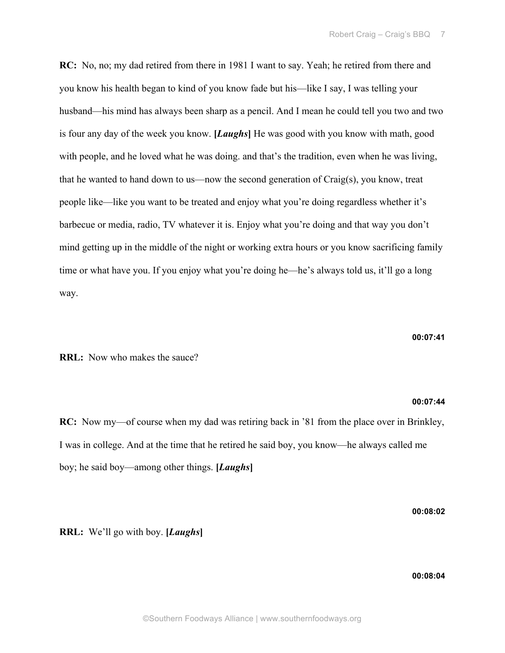**RC:** No, no; my dad retired from there in 1981 I want to say. Yeah; he retired from there and you know his health began to kind of you know fade but his—like I say, I was telling your husband—his mind has always been sharp as a pencil. And I mean he could tell you two and two is four any day of the week you know. **[***Laughs***]** He was good with you know with math, good with people, and he loved what he was doing. and that's the tradition, even when he was living, that he wanted to hand down to us—now the second generation of Craig(s), you know, treat people like—like you want to be treated and enjoy what you're doing regardless whether it's barbecue or media, radio, TV whatever it is. Enjoy what you're doing and that way you don't mind getting up in the middle of the night or working extra hours or you know sacrificing family time or what have you. If you enjoy what you're doing he—he's always told us, it'll go a long way.

#### **00:07:41**

**RRL:** Now who makes the sauce?

#### **00:07:44**

**RC:** Now my—of course when my dad was retiring back in '81 from the place over in Brinkley, I was in college. And at the time that he retired he said boy, you know—he always called me boy; he said boy—among other things. **[***Laughs***]**

**00:08:02**

**RRL:** We'll go with boy. **[***Laughs***]**

# **00:08:04**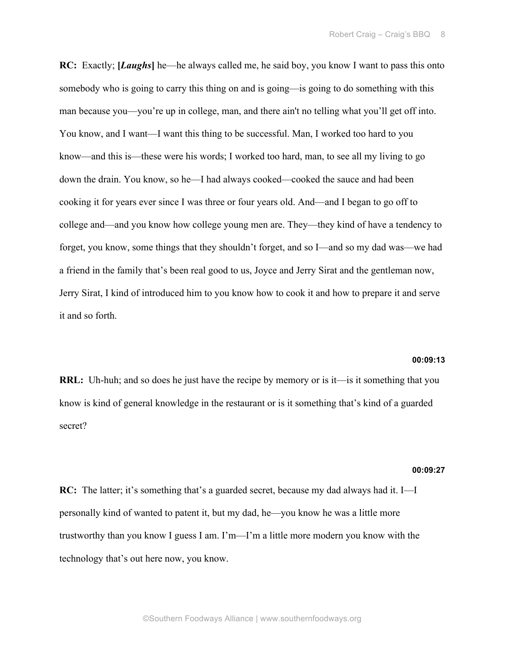**RC:** Exactly; **[***Laughs***]** he—he always called me, he said boy, you know I want to pass this onto somebody who is going to carry this thing on and is going—is going to do something with this man because you—you're up in college, man, and there ain't no telling what you'll get off into. You know, and I want—I want this thing to be successful. Man, I worked too hard to you know—and this is—these were his words; I worked too hard, man, to see all my living to go down the drain. You know, so he—I had always cooked—cooked the sauce and had been cooking it for years ever since I was three or four years old. And—and I began to go off to college and—and you know how college young men are. They—they kind of have a tendency to forget, you know, some things that they shouldn't forget, and so I—and so my dad was—we had a friend in the family that's been real good to us, Joyce and Jerry Sirat and the gentleman now, Jerry Sirat, I kind of introduced him to you know how to cook it and how to prepare it and serve it and so forth.

# **00:09:13**

**RRL:** Uh-huh; and so does he just have the recipe by memory or is it—is it something that you know is kind of general knowledge in the restaurant or is it something that's kind of a guarded secret?

#### **00:09:27**

**RC:** The latter; it's something that's a guarded secret, because my dad always had it. I—I personally kind of wanted to patent it, but my dad, he—you know he was a little more trustworthy than you know I guess I am. I'm—I'm a little more modern you know with the technology that's out here now, you know.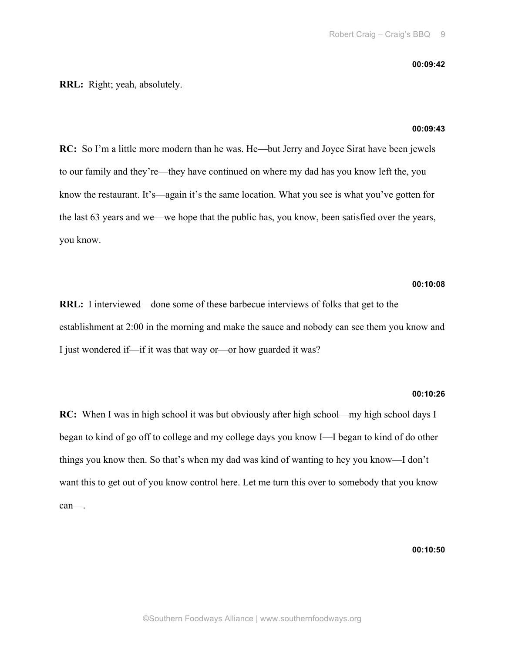#### **00:09:42**

# **RRL:** Right; yeah, absolutely.

#### **00:09:43**

**RC:** So I'm a little more modern than he was. He—but Jerry and Joyce Sirat have been jewels to our family and they're—they have continued on where my dad has you know left the, you know the restaurant. It's—again it's the same location. What you see is what you've gotten for the last 63 years and we—we hope that the public has, you know, been satisfied over the years, you know.

# **00:10:08**

**RRL:** I interviewed—done some of these barbecue interviews of folks that get to the establishment at 2:00 in the morning and make the sauce and nobody can see them you know and I just wondered if—if it was that way or—or how guarded it was?

# **00:10:26**

**RC:** When I was in high school it was but obviously after high school—my high school days I began to kind of go off to college and my college days you know I—I began to kind of do other things you know then. So that's when my dad was kind of wanting to hey you know—I don't want this to get out of you know control here. Let me turn this over to somebody that you know can—.

**00:10:50**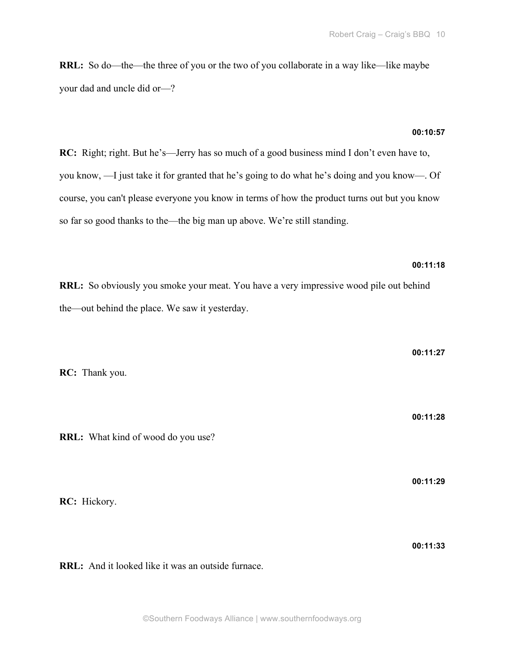**RRL:** So do—the—the three of you or the two of you collaborate in a way like—like maybe your dad and uncle did or—?

# **00:10:57**

**RC:** Right; right. But he's—Jerry has so much of a good business mind I don't even have to, you know, —I just take it for granted that he's going to do what he's doing and you know—. Of course, you can't please everyone you know in terms of how the product turns out but you know so far so good thanks to the—the big man up above. We're still standing.

# **00:11:18**

**00:11:27**

**00:11:28**

**00:11:29**

**RRL:** So obviously you smoke your meat. You have a very impressive wood pile out behind the—out behind the place. We saw it yesterday.

**RC:** Thank you.

**RRL:** What kind of wood do you use?

**RC:** Hickory.

**00:11:33**

**RRL:** And it looked like it was an outside furnace.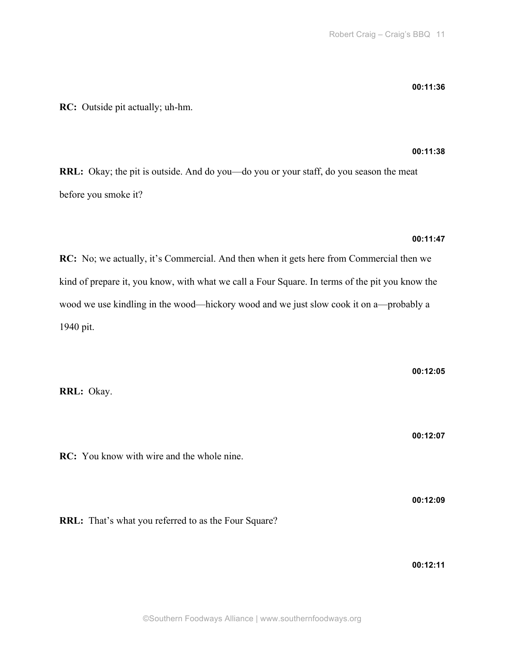**RC:** Outside pit actually; uh-hm.

# **00:11:38**

**RRL:** Okay; the pit is outside. And do you—do you or your staff, do you season the meat before you smoke it?

# **00:11:47**

**RC:** No; we actually, it's Commercial. And then when it gets here from Commercial then we kind of prepare it, you know, with what we call a Four Square. In terms of the pit you know the wood we use kindling in the wood—hickory wood and we just slow cook it on a—probably a 1940 pit.

| RRL: Okay.                                                  | 00:12:05 |
|-------------------------------------------------------------|----------|
| <b>RC:</b> You know with wire and the whole nine.           | 00:12:07 |
| <b>RRL:</b> That's what you referred to as the Four Square? | 00:12:09 |

**00:12:11**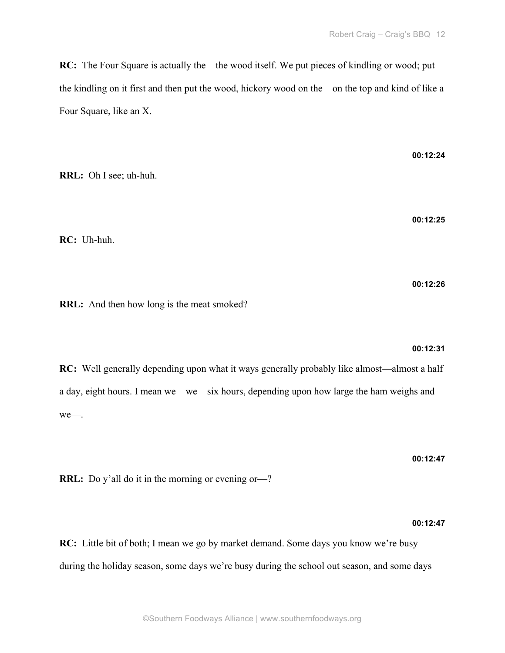**RC:** The Four Square is actually the—the wood itself. We put pieces of kindling or wood; put the kindling on it first and then put the wood, hickory wood on the—on the top and kind of like a Four Square, like an X.

**RRL:** Oh I see; uh-huh.

**RC:** Uh-huh.

**RRL:** And then how long is the meat smoked?

**00:12:31**

**00:12:24**

**00:12:25**

**00:12:26**

**RC:** Well generally depending upon what it ways generally probably like almost—almost a half a day, eight hours. I mean we—we—six hours, depending upon how large the ham weighs and we—.

**00:12:47**

**RRL:** Do y'all do it in the morning or evening or—?

**00:12:47**

**RC:** Little bit of both; I mean we go by market demand. Some days you know we're busy during the holiday season, some days we're busy during the school out season, and some days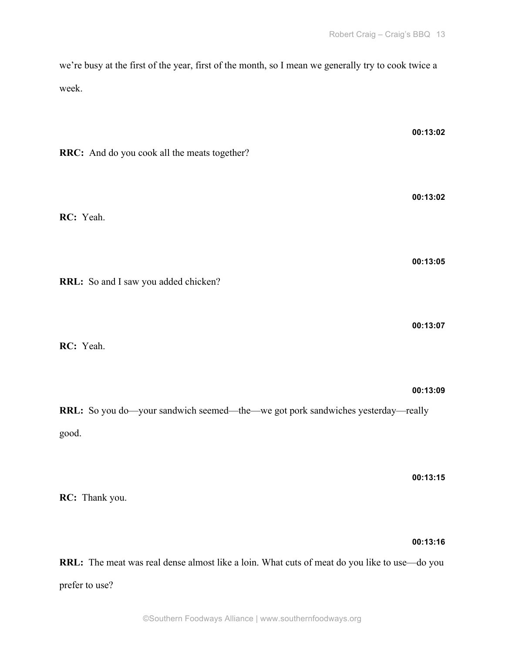we're busy at the first of the year, first of the month, so I mean we generally try to cook twice a week.

| RRC: And do you cook all the meats together?                                             | 00:13:02 |
|------------------------------------------------------------------------------------------|----------|
| RC: Yeah.                                                                                | 00:13:02 |
| RRL: So and I saw you added chicken?                                                     | 00:13:05 |
| RC: Yeah.                                                                                | 00:13:07 |
| RRL: So you do—your sandwich seemed—the—we got pork sandwiches yesterday—really<br>good. | 00:13:09 |
| RC: Thank you.                                                                           | 00:13:15 |

# **00:13:16**

**RRL:** The meat was real dense almost like a loin. What cuts of meat do you like to use—do you prefer to use?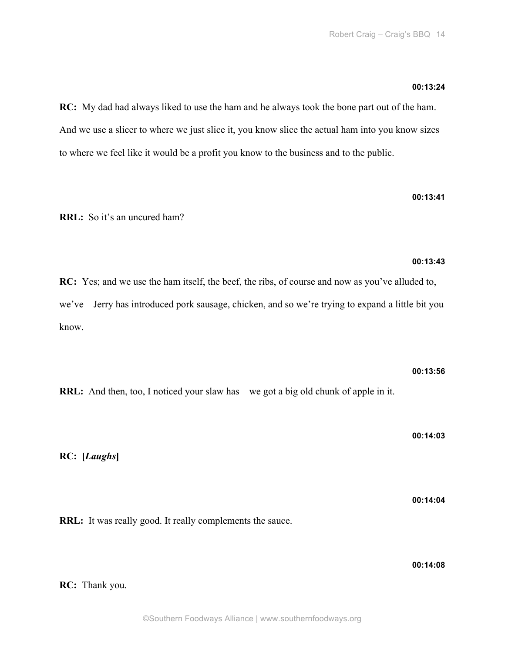**00:13:41**

**00:13:43**

**RC:** My dad had always liked to use the ham and he always took the bone part out of the ham. And we use a slicer to where we just slice it, you know slice the actual ham into you know sizes to where we feel like it would be a profit you know to the business and to the public.

**RRL:** So it's an uncured ham?

**RC:** Yes; and we use the ham itself, the beef, the ribs, of course and now as you've alluded to, we've—Jerry has introduced pork sausage, chicken, and so we're trying to expand a little bit you know.

**RRL:** And then, too, I noticed your slaw has—we got a big old chunk of apple in it.

**00:14:03**

**00:14:04**

**00:13:56**

**RC: [***Laughs***]**

**RRL:** It was really good. It really complements the sauce.

**00:14:08**

**RC:** Thank you.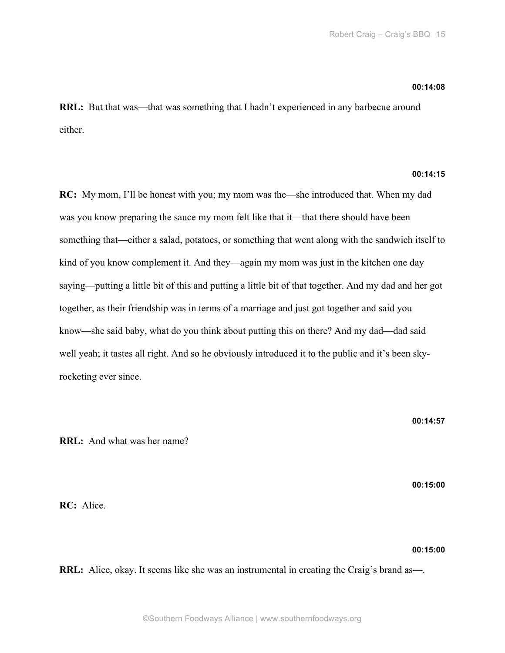# **00:14:08**

**RRL:** But that was—that was something that I hadn't experienced in any barbecue around either.

# **00:14:15**

**RC:** My mom, I'll be honest with you; my mom was the—she introduced that. When my dad was you know preparing the sauce my mom felt like that it—that there should have been something that—either a salad, potatoes, or something that went along with the sandwich itself to kind of you know complement it. And they—again my mom was just in the kitchen one day saying—putting a little bit of this and putting a little bit of that together. And my dad and her got together, as their friendship was in terms of a marriage and just got together and said you know—she said baby, what do you think about putting this on there? And my dad—dad said well yeah; it tastes all right. And so he obviously introduced it to the public and it's been skyrocketing ever since.

**RRL:** And what was her name?

**00:15:00**

**00:14:57**

**RC:** Alice.

**00:15:00**

**RRL:** Alice, okay. It seems like she was an instrumental in creating the Craig's brand as—.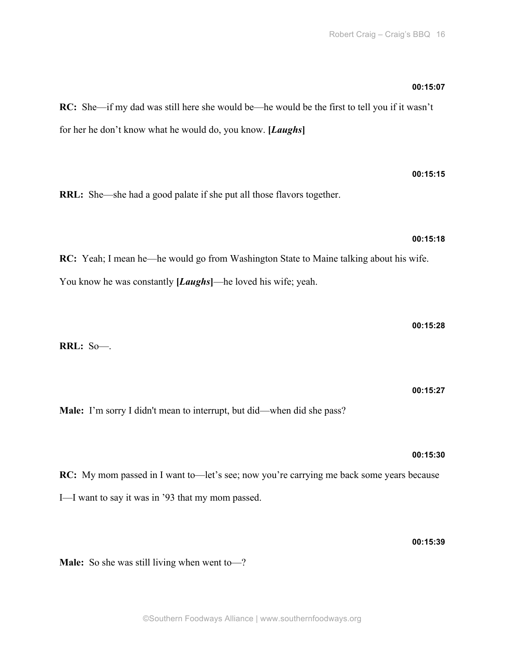# **00:15:07**

**00:15:15**

**00:15:18**

**RC:** She—if my dad was still here she would be—he would be the first to tell you if it wasn't for her he don't know what he would do, you know. **[***Laughs***]**

**RRL:** She—she had a good palate if she put all those flavors together.

**RC:** Yeah; I mean he—he would go from Washington State to Maine talking about his wife. You know he was constantly [*Laughs*]—he loved his wife; yeah.

**00:15:28**

**RRL:** So—.

**00:15:27**

**00:15:30**

**Male:** I'm sorry I didn't mean to interrupt, but did—when did she pass?

**RC:** My mom passed in I want to—let's see; now you're carrying me back some years because I—I want to say it was in '93 that my mom passed.

**00:15:39**

**Male:** So she was still living when went to—?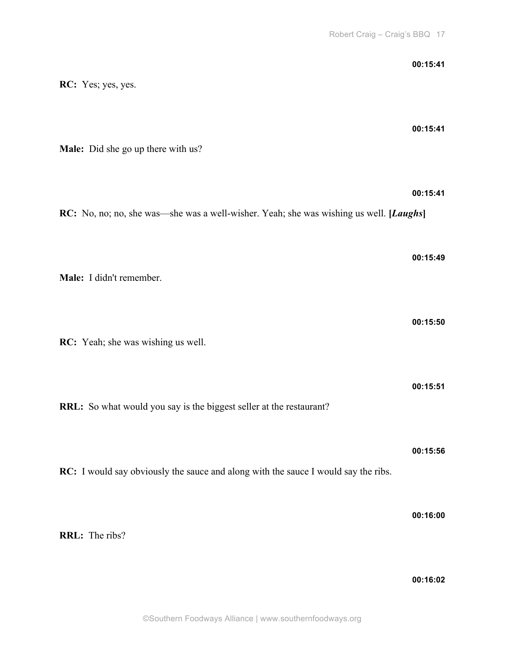| <b>RC:</b> Yes; yes, yes.                                                                 | 00:15:41 |
|-------------------------------------------------------------------------------------------|----------|
| Male: Did she go up there with us?                                                        | 00:15:41 |
| RC: No, no; no, she was—she was a well-wisher. Yeah; she was wishing us well. [Laughs]    | 00:15:41 |
| Male: I didn't remember.                                                                  | 00:15:49 |
| RC: Yeah; she was wishing us well.                                                        | 00:15:50 |
| RRL: So what would you say is the biggest seller at the restaurant?                       | 00:15:51 |
| <b>RC:</b> I would say obviously the sauce and along with the sauce I would say the ribs. | 00:15:56 |
| RRL: The ribs?                                                                            | 00:16:00 |
|                                                                                           | 00:16:02 |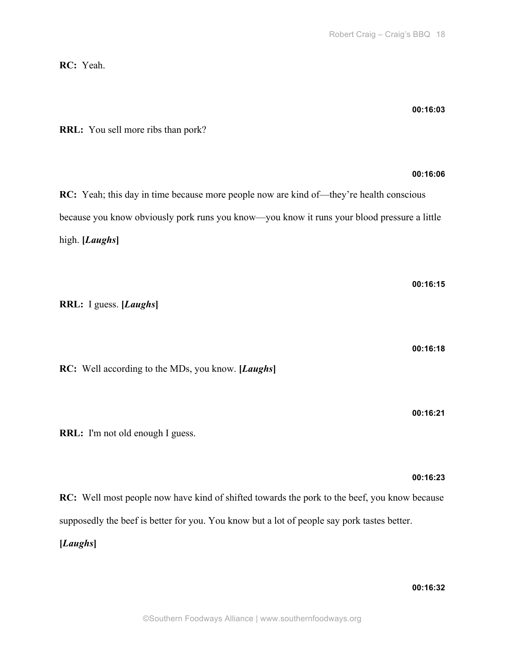**RC:** Yeah.

**00:16:03**

**00:16:06**

**RRL:** You sell more ribs than pork?

**RC:** Yeah; this day in time because more people now are kind of—they're health conscious because you know obviously pork runs you know—you know it runs your blood pressure a little high. **[***Laughs***]**

**00:16:15 RRL:** I guess. **[***Laughs***] 00:16:18 RC:** Well according to the MDs, you know. **[***Laughs***] 00:16:21 RRL:** I'm not old enough I guess. **00:16:23**

**RC:** Well most people now have kind of shifted towards the pork to the beef, you know because supposedly the beef is better for you. You know but a lot of people say pork tastes better.

**[***Laughs***]**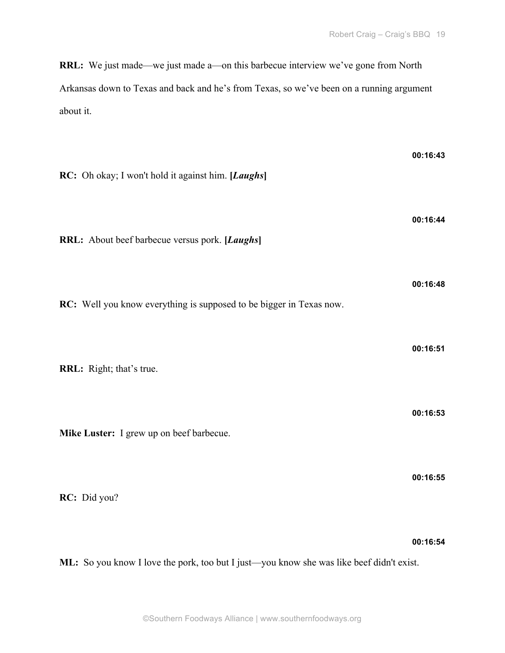**RRL:** We just made—we just made a—on this barbecue interview we've gone from North Arkansas down to Texas and back and he's from Texas, so we've been on a running argument about it.

| RC: Oh okay; I won't hold it against him. [Laughs]                  | 00:16:43 |
|---------------------------------------------------------------------|----------|
| RRL: About beef barbecue versus pork. [Laughs]                      | 00:16:44 |
| RC: Well you know everything is supposed to be bigger in Texas now. | 00:16:48 |
| RRL: Right; that's true.                                            | 00:16:51 |
| Mike Luster: I grew up on beef barbecue.                            | 00:16:53 |
| RC: Did you?                                                        | 00:16:55 |
|                                                                     | 00:16:54 |

**ML:** So you know I love the pork, too but I just—you know she was like beef didn't exist.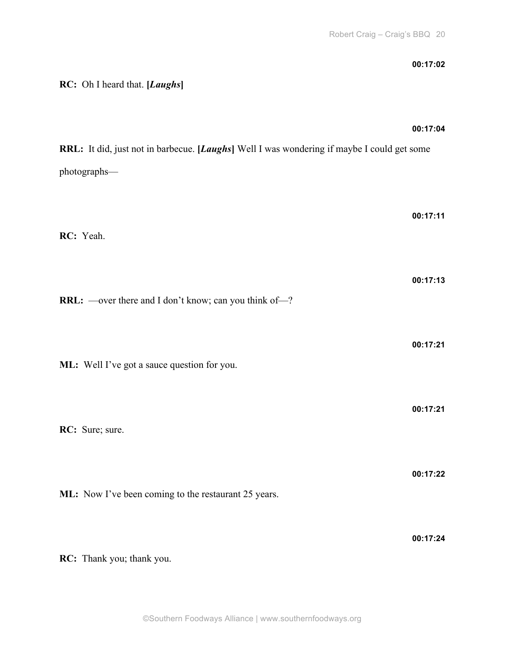**00:17:24**

| RC: Oh I heard that. [Laughs]                                                                              | 00:17:02 |
|------------------------------------------------------------------------------------------------------------|----------|
| RRL: It did, just not in barbecue. [Laughs] Well I was wondering if maybe I could get some<br>photographs- | 00:17:04 |
| RC: Yeah.                                                                                                  | 00:17:11 |
| RRL: —over there and I don't know; can you think of—?                                                      | 00:17:13 |
| ML: Well I've got a sauce question for you.                                                                | 00:17:21 |
| RC: Sure; sure.                                                                                            | 00:17:21 |
| ML: Now I've been coming to the restaurant 25 years.                                                       | 00:17:22 |

**RC:** Thank you; thank you.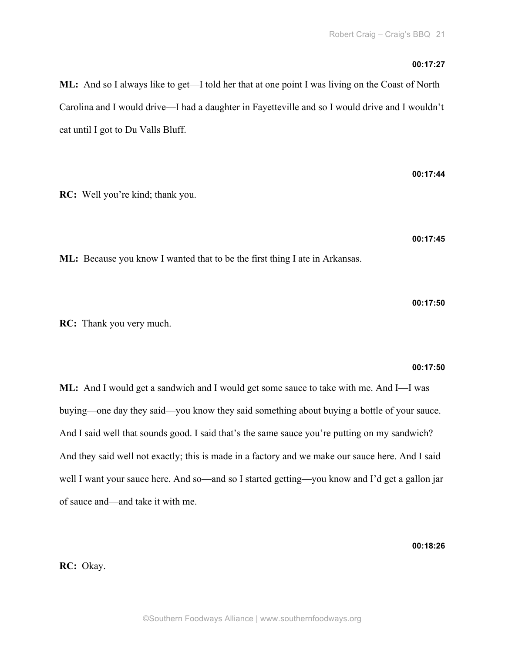# **00:17:27**

**ML:** And so I always like to get—I told her that at one point I was living on the Coast of North Carolina and I would drive—I had a daughter in Fayetteville and so I would drive and I wouldn't eat until I got to Du Valls Bluff.

**RC:** Well you're kind; thank you.

**00:17:45**

**00:17:50**

**00:17:44**

**ML:** Because you know I wanted that to be the first thing I ate in Arkansas.

**RC:** Thank you very much.

# **00:17:50**

**ML:** And I would get a sandwich and I would get some sauce to take with me. And I—I was buying—one day they said—you know they said something about buying a bottle of your sauce. And I said well that sounds good. I said that's the same sauce you're putting on my sandwich? And they said well not exactly; this is made in a factory and we make our sauce here. And I said well I want your sauce here. And so—and so I started getting—you know and I'd get a gallon jar of sauce and—and take it with me.

**00:18:26**

**RC:** Okay.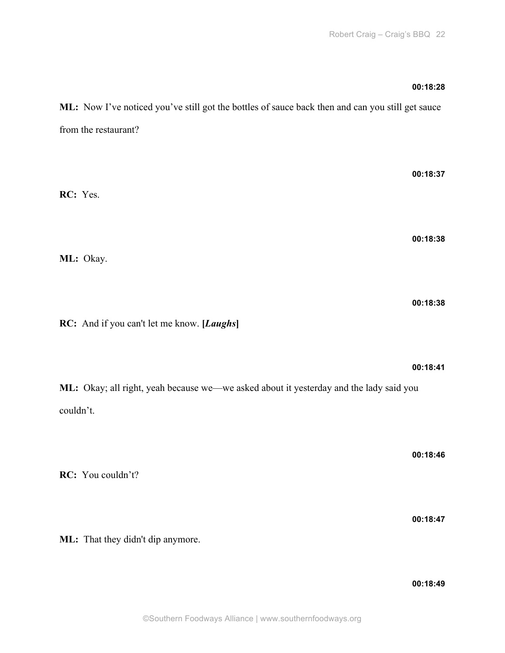# **00:18:28**

**ML:** Now I've noticed you've still got the bottles of sauce back then and can you still get sauce from the restaurant?

**00:18:37 RC:** Yes. **00:18:38 ML:** Okay. **00:18:38 RC:** And if you can't let me know. **[***Laughs***] 00:18:41 ML:** Okay; all right, yeah because we—we asked about it yesterday and the lady said you couldn't.

**RC:** You couldn't? **00:18:47**

**ML:** That they didn't dip anymore.

**00:18:49**

**00:18:46**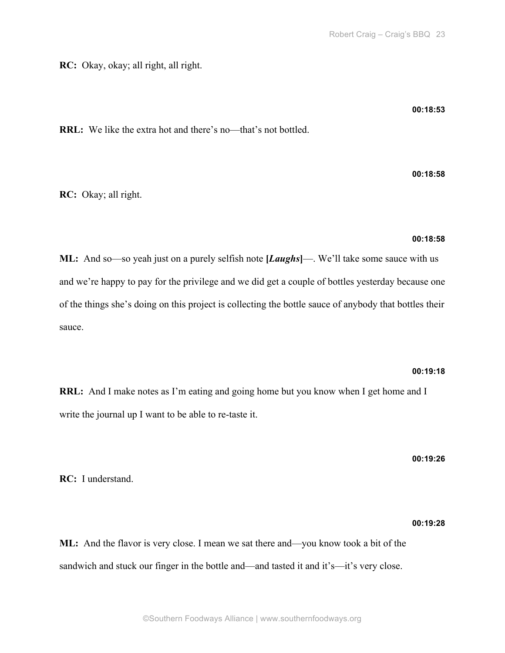**RC:** Okay, okay; all right, all right.

**00:18:53**

**RRL:** We like the extra hot and there's no—that's not bottled.

**RC:** Okay; all right.

**00:18:58**

**00:18:58**

**ML:** And so—so yeah just on a purely selfish note **[***Laughs***]**—. We'll take some sauce with us and we're happy to pay for the privilege and we did get a couple of bottles yesterday because one of the things she's doing on this project is collecting the bottle sauce of anybody that bottles their sauce.

# **00:19:18**

**RRL:** And I make notes as I'm eating and going home but you know when I get home and I write the journal up I want to be able to re-taste it.

**00:19:26**

**RC:** I understand.

# **00:19:28**

**ML:** And the flavor is very close. I mean we sat there and—you know took a bit of the sandwich and stuck our finger in the bottle and—and tasted it and it's—it's very close.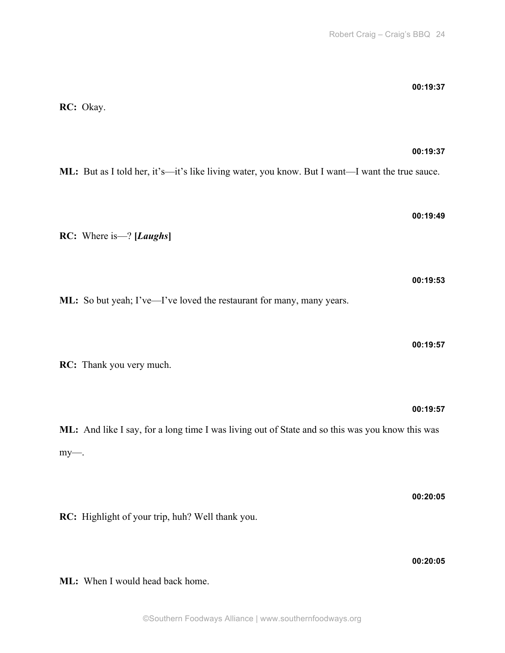**00:19:37**

|     | RC: Okay.                                                                                                   |
|-----|-------------------------------------------------------------------------------------------------------------|
|     | 00:19:37<br>ML: But as I told her, it's—it's like living water, you know. But I want—I want the true sauce. |
|     | 00:19:49<br><b>RC:</b> Where is $-$ ? [ <i>Laughs</i> ]                                                     |
|     | 00:19:53<br>ML: So but yeah; I've-I've loved the restaurant for many, many years.                           |
|     | 00:19:57<br>RC: Thank you very much.                                                                        |
| my- | 00:19:57<br>ML: And like I say, for a long time I was living out of State and so this was you know this was |
|     | 00:20:05<br>RC: Highlight of your trip, huh? Well thank you.                                                |

**00:20:05**

**ML:** When I would head back home.

# **RC:** Okay.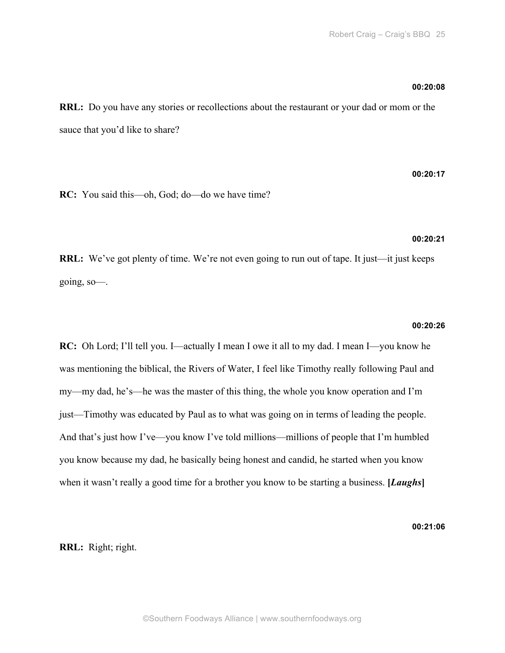# **00:20:08**

**RRL:** Do you have any stories or recollections about the restaurant or your dad or mom or the sauce that you'd like to share?

# **00:20:17**

**RC:** You said this—oh, God; do—do we have time?

# **00:20:21**

**RRL:** We've got plenty of time. We're not even going to run out of tape. It just—it just keeps going, so—.

# **00:20:26**

**RC:** Oh Lord; I'll tell you. I—actually I mean I owe it all to my dad. I mean I—you know he was mentioning the biblical, the Rivers of Water, I feel like Timothy really following Paul and my—my dad, he's—he was the master of this thing, the whole you know operation and I'm just—Timothy was educated by Paul as to what was going on in terms of leading the people. And that's just how I've—you know I've told millions—millions of people that I'm humbled you know because my dad, he basically being honest and candid, he started when you know when it wasn't really a good time for a brother you know to be starting a business. **[***Laughs***]**

**00:21:06**

**RRL:** Right; right.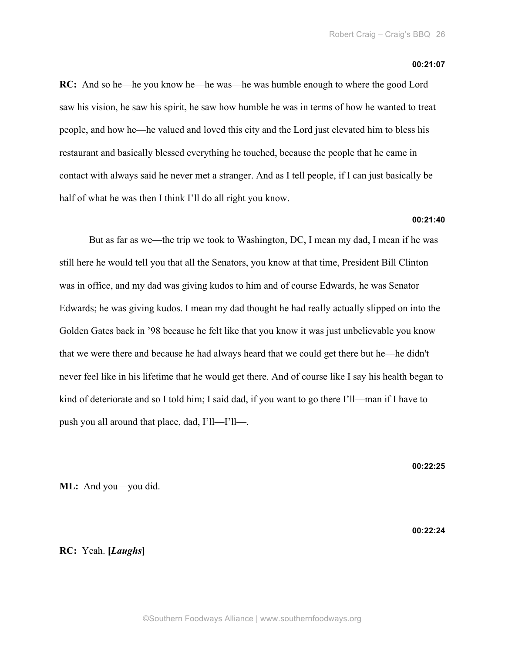#### **00:21:07**

**RC:** And so he—he you know he—he was—he was humble enough to where the good Lord saw his vision, he saw his spirit, he saw how humble he was in terms of how he wanted to treat people, and how he—he valued and loved this city and the Lord just elevated him to bless his restaurant and basically blessed everything he touched, because the people that he came in contact with always said he never met a stranger. And as I tell people, if I can just basically be half of what he was then I think I'll do all right you know.

# **00:21:40**

But as far as we—the trip we took to Washington, DC, I mean my dad, I mean if he was still here he would tell you that all the Senators, you know at that time, President Bill Clinton was in office, and my dad was giving kudos to him and of course Edwards, he was Senator Edwards; he was giving kudos. I mean my dad thought he had really actually slipped on into the Golden Gates back in '98 because he felt like that you know it was just unbelievable you know that we were there and because he had always heard that we could get there but he—he didn't never feel like in his lifetime that he would get there. And of course like I say his health began to kind of deteriorate and so I told him; I said dad, if you want to go there I'll—man if I have to push you all around that place, dad, I'll—I'll—.

**00:22:25**

**ML:** And you—you did.

**00:22:24**

# **RC:** Yeah. **[***Laughs***]**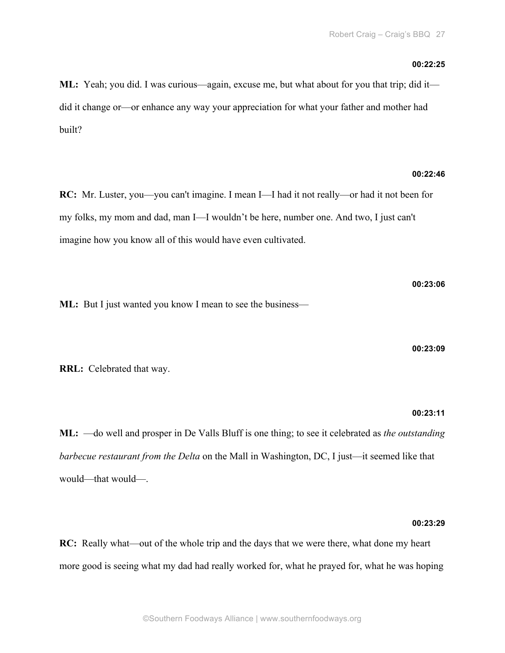## **00:22:25**

**ML:** Yeah; you did. I was curious—again, excuse me, but what about for you that trip; did it did it change or—or enhance any way your appreciation for what your father and mother had built?

#### **00:22:46**

**RC:** Mr. Luster, you—you can't imagine. I mean I—I had it not really—or had it not been for my folks, my mom and dad, man I—I wouldn't be here, number one. And two, I just can't imagine how you know all of this would have even cultivated.

**ML:** But I just wanted you know I mean to see the business—

**00:23:09**

**00:23:06**

**RRL:** Celebrated that way.

# **00:23:11**

**ML:** —do well and prosper in De Valls Bluff is one thing; to see it celebrated as *the outstanding barbecue restaurant from the Delta* on the Mall in Washington, DC, I just—it seemed like that would—that would—.

# **00:23:29**

**RC:** Really what—out of the whole trip and the days that we were there, what done my heart more good is seeing what my dad had really worked for, what he prayed for, what he was hoping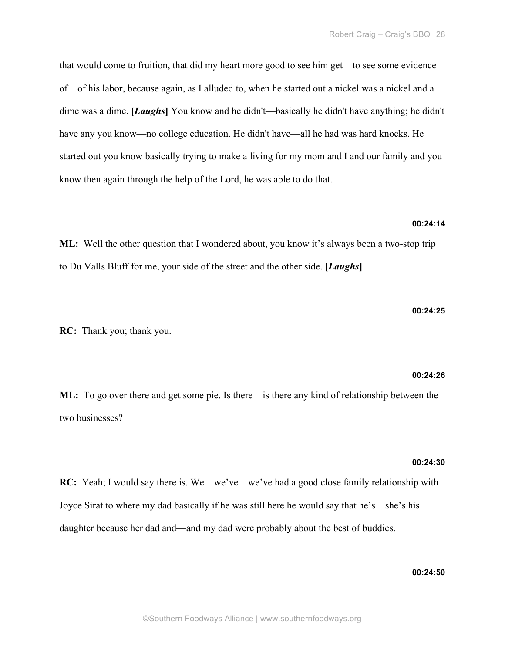that would come to fruition, that did my heart more good to see him get—to see some evidence of—of his labor, because again, as I alluded to, when he started out a nickel was a nickel and a dime was a dime. **[***Laughs***]** You know and he didn't—basically he didn't have anything; he didn't have any you know—no college education. He didn't have—all he had was hard knocks. He started out you know basically trying to make a living for my mom and I and our family and you know then again through the help of the Lord, he was able to do that.

# **00:24:14**

**ML:** Well the other question that I wondered about, you know it's always been a two-stop trip to Du Valls Bluff for me, your side of the street and the other side. **[***Laughs***]**

**RC:** Thank you; thank you.

#### **00:24:26**

**00:24:25**

**ML:** To go over there and get some pie. Is there—is there any kind of relationship between the two businesses?

# **00:24:30**

**RC:** Yeah; I would say there is. We—we've—we've had a good close family relationship with Joyce Sirat to where my dad basically if he was still here he would say that he's—she's his daughter because her dad and—and my dad were probably about the best of buddies.

# **00:24:50**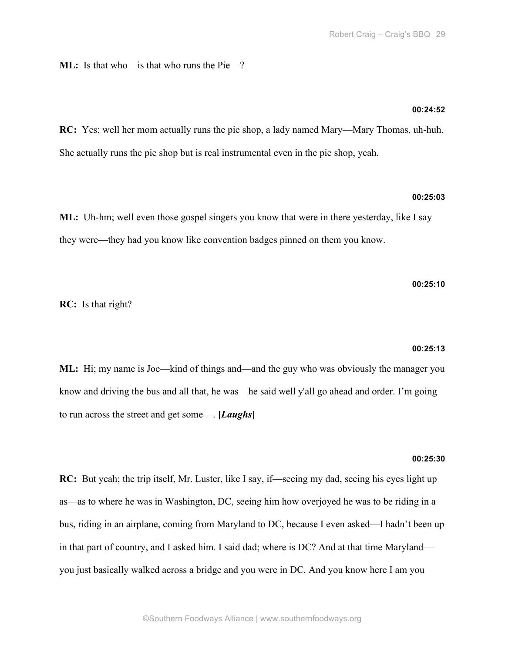**ML:** Is that who—is that who runs the Pie—?

# **00:24:52**

**RC:** Yes; well her mom actually runs the pie shop, a lady named Mary—Mary Thomas, uh-huh. She actually runs the pie shop but is real instrumental even in the pie shop, yeah.

# **00:25:03**

**ML:** Uh-hm; well even those gospel singers you know that were in there yesterday, like I say they were—they had you know like convention badges pinned on them you know.

## **00:25:10**

**RC:** Is that right?

#### **00:25:13**

**ML:** Hi; my name is Joe—kind of things and—and the guy who was obviously the manager you know and driving the bus and all that, he was—he said well y'all go ahead and order. I'm going to run across the street and get some—. **[***Laughs***]**

## **00:25:30**

**RC:** But yeah; the trip itself, Mr. Luster, like I say, if—seeing my dad, seeing his eyes light up as—as to where he was in Washington, DC, seeing him how overjoyed he was to be riding in a bus, riding in an airplane, coming from Maryland to DC, because I even asked—I hadn't been up in that part of country, and I asked him. I said dad; where is DC? And at that time Maryland you just basically walked across a bridge and you were in DC. And you know here I am you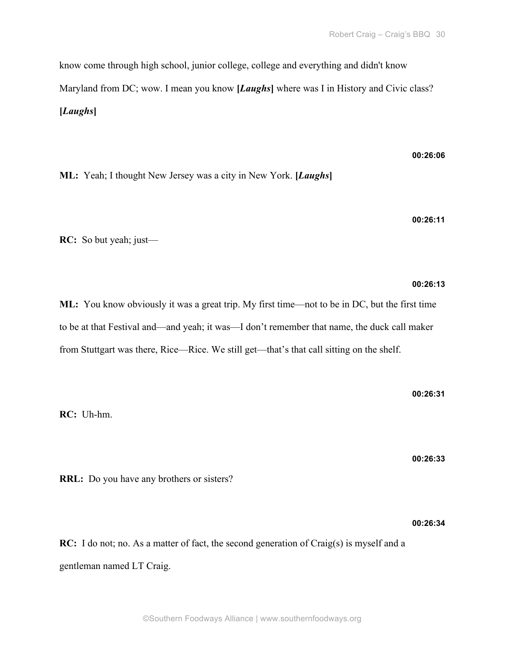know come through high school, junior college, college and everything and didn't know Maryland from DC; wow. I mean you know [*Laughs*] where was I in History and Civic class? **[***Laughs***]**

**ML:** Yeah; I thought New Jersey was a city in New York. **[***Laughs***]**

**RC:** So but yeah; just—

# **ML:** You know obviously it was a great trip. My first time—not to be in DC, but the first time to be at that Festival and—and yeah; it was—I don't remember that name, the duck call maker from Stuttgart was there, Rice—Rice. We still get—that's that call sitting on the shelf.

**RC:** Uh-hm.

**00:26:33**

**00:26:31**

**RRL:** Do you have any brothers or sisters?

**00:26:34**

**RC:** I do not; no. As a matter of fact, the second generation of Craig(s) is myself and a gentleman named LT Craig.

# **00:26:06**

**00:26:11**

**00:26:13**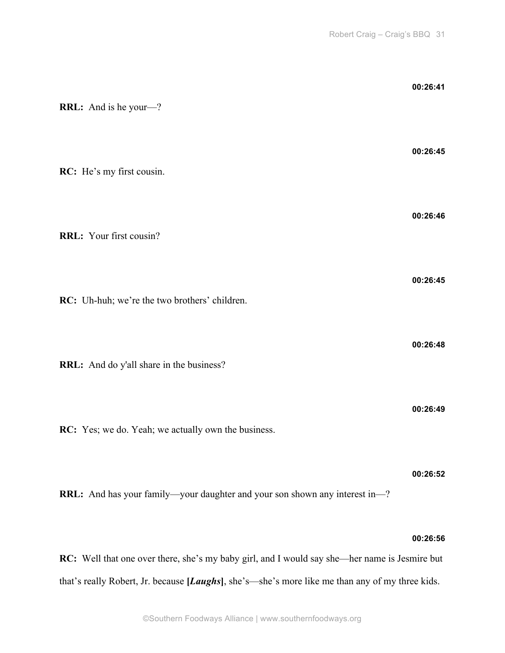| <b>RRL:</b> And is he your-?                                                | 00:26:41 |
|-----------------------------------------------------------------------------|----------|
| RC: He's my first cousin.                                                   | 00:26:45 |
| RRL: Your first cousin?                                                     | 00:26:46 |
| RC: Uh-huh; we're the two brothers' children.                               | 00:26:45 |
| RRL: And do y'all share in the business?                                    | 00:26:48 |
| RC: Yes; we do. Yeah; we actually own the business.                         | 00:26:49 |
| RRL: And has your family—your daughter and your son shown any interest in—? | 00:26:52 |

# **00:26:56**

**RC:** Well that one over there, she's my baby girl, and I would say she—her name is Jesmire but that's really Robert, Jr. because **[***Laughs***]**, she's—she's more like me than any of my three kids.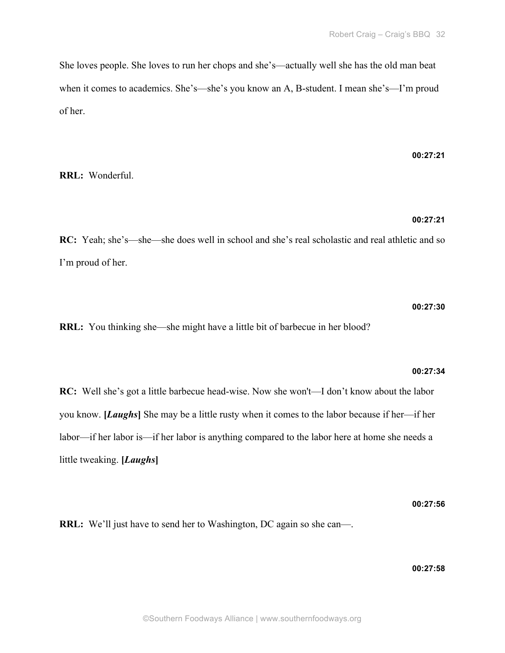She loves people. She loves to run her chops and she's—actually well she has the old man beat when it comes to academics. She's—she's you know an A, B-student. I mean she's—I'm proud of her.

**RRL:** Wonderful.

#### **00:27:21**

**00:27:21**

**RC:** Yeah; she's—she—she does well in school and she's real scholastic and real athletic and so I'm proud of her.

### **00:27:30**

**RRL:** You thinking she—she might have a little bit of barbecue in her blood?

#### **00:27:34**

**RC:** Well she's got a little barbecue head-wise. Now she won't—I don't know about the labor you know. **[***Laughs***]** She may be a little rusty when it comes to the labor because if her—if her labor—if her labor is—if her labor is anything compared to the labor here at home she needs a little tweaking. **[***Laughs***]**

**00:27:56**

**RRL:** We'll just have to send her to Washington, DC again so she can—.

**00:27:58**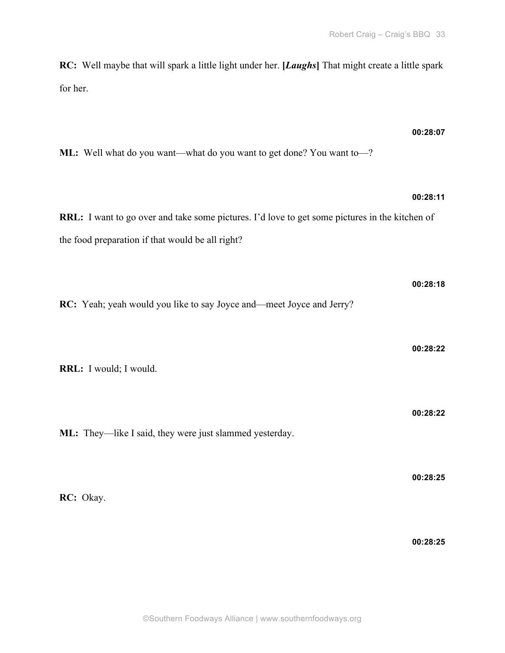**RC:** Well maybe that will spark a little light under her. **[***Laughs***]** That might create a little spark for her.

# **00:28:07**

**00:28:18**

**00:28:22**

**00:28:22**

**00:28:25**

**ML:** Well what do you want—what do you want to get done? You want to—?

# **00:28:11 RRL:** I want to go over and take some pictures. I'd love to get some pictures in the kitchen of the food preparation if that would be all right?

**RC:** Yeah; yeah would you like to say Joyce and—meet Joyce and Jerry?

**RRL:** I would; I would.

**ML:** They—like I said, they were just slammed yesterday.

**RC:** Okay.

**00:28:25**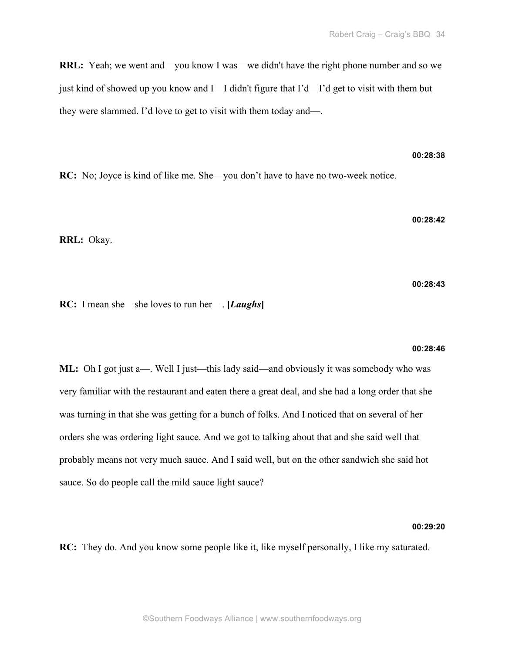**RRL:** Yeah; we went and—you know I was—we didn't have the right phone number and so we just kind of showed up you know and I—I didn't figure that I'd—I'd get to visit with them but they were slammed. I'd love to get to visit with them today and—.

**RC:** No; Joyce is kind of like me. She—you don't have to have no two-week notice.

**00:28:42**

**00:28:38**

**RRL:** Okay.

**00:28:43**

**RC:** I mean she—she loves to run her—. **[***Laughs***]**

#### **00:28:46**

**ML:** Oh I got just a—. Well I just—this lady said—and obviously it was somebody who was very familiar with the restaurant and eaten there a great deal, and she had a long order that she was turning in that she was getting for a bunch of folks. And I noticed that on several of her orders she was ordering light sauce. And we got to talking about that and she said well that probably means not very much sauce. And I said well, but on the other sandwich she said hot sauce. So do people call the mild sauce light sauce?

# **00:29:20**

**RC:** They do. And you know some people like it, like myself personally, I like my saturated.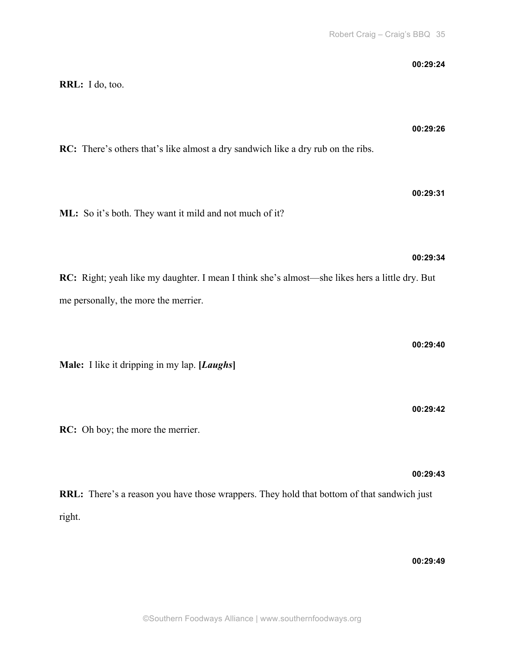**00:29:24**

| 00:29:26<br>RC: There's others that's like almost a dry sandwich like a dry rub on the ribs.         |  |
|------------------------------------------------------------------------------------------------------|--|
|                                                                                                      |  |
| 00:29:31<br>ML: So it's both. They want it mild and not much of it?                                  |  |
| 00:29:34                                                                                             |  |
| RC: Right; yeah like my daughter. I mean I think she's almost—she likes hers a little dry. But       |  |
| me personally, the more the merrier.                                                                 |  |
| 00:29:40                                                                                             |  |
| Male: I like it dripping in my lap. [Laughs]                                                         |  |
| 00:29:42                                                                                             |  |
| RC: Oh boy; the more the merrier.                                                                    |  |
| 00:29:43                                                                                             |  |
| RRL: There's a reason you have those wrappers. They hold that bottom of that sandwich just<br>right. |  |
|                                                                                                      |  |
| 00:29:49                                                                                             |  |
| ©Southern Foodways Alliance   www.southernfoodways.org                                               |  |

**RRL:** I do, too.